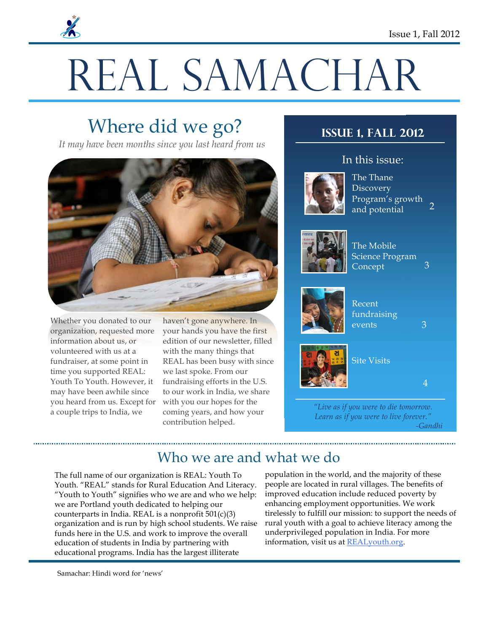# REAL SAMACHAR

# Where did we go?

*It may have been months since you last heard from us*



Whether you donated to our organization, requested more information about us, or volunteered with us at a fundraiser, at some point in time you supported REAL: Youth To Youth. However, it may have been awhile since you heard from us. Except for a couple trips to India, we

haven't gone anywhere. In your hands you have the first edition of our newsletter, filled with the many things that REAL has been busy with since we last spoke. From our fundraising efforts in the U.S. to our work in India, we share with you our hopes for the coming years, and how your contribution helped.

## **Issue 1, Fall 2012**



### In this issue:

 $\overline{2}$ The Thane **Discovery** Program's growth and potential



The Mobile Science Program Concept



Recent fundraising events



4

3

3

*"Live as if you were to die tomorrow. Learn as if you were to live forever." -Gandhi*

# Who we are and what we do

The full name of our organization is REAL: Youth To Youth. "REAL" stands for Rural Education And Literacy. "Youth to Youth" signifies who we are and who we help: we are Portland youth dedicated to helping our counterparts in India. REAL is a nonprofit 501(c)(3) organization and is run by high school students. We raise funds here in the U.S. and work to improve the overall education of students in India by partnering with educational programs. India has the largest illiterate

population in the world, and the majority of these people are located in rural villages. The benefits of improved education include reduced poverty by enhancing employment opportunities. We work tirelessly to fulfill our mission: to support the needs of rural youth with a goal to achieve literacy among the underprivileged population in India. For more information, visit us at REALyouth.org.

Samachar: Hindi word for 'news'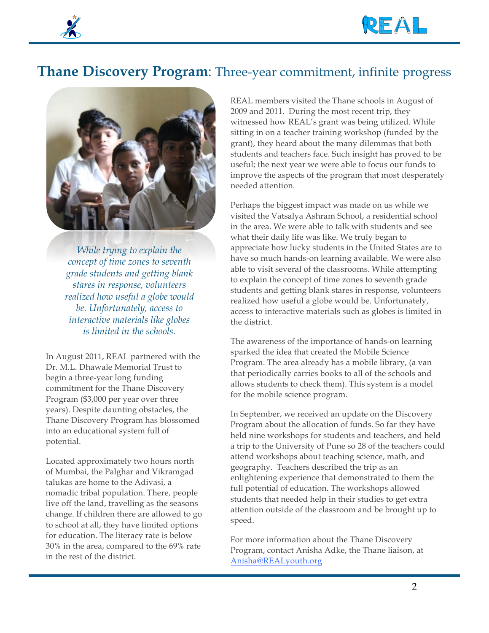

# **Thane Discovery Program**: Three-year commitment, infinite progress



*While trying to explain the concept of time zones to seventh grade students and getting blank stares in response, volunteers realized how useful a globe would be. Unfortunately, access to interactive materials like globes is limited in the schools.*

In August 2011, REAL partnered with the Dr. M.L. Dhawale Memorial Trust to begin a three-year long funding commitment for the Thane Discovery Program (\$3,000 per year over three years). Despite daunting obstacles, the Thane Discovery Program has blossomed into an educational system full of potential.

Located approximately two hours north of Mumbai, the Palghar and Vikramgad talukas are home to the Adivasi, a nomadic tribal population. There, people live off the land, travelling as the seasons change. If children there are allowed to go to school at all, they have limited options for education. The literacy rate is below 30% in the area, compared to the 69% rate in the rest of the district.

REAL members visited the Thane schools in August of 2009 and 2011. During the most recent trip, they witnessed how REAL's grant was being utilized. While sitting in on a teacher training workshop (funded by the grant), they heard about the many dilemmas that both students and teachers face. Such insight has proved to be useful; the next year we were able to focus our funds to improve the aspects of the program that most desperately needed attention.

Perhaps the biggest impact was made on us while we visited the Vatsalya Ashram School, a residential school in the area. We were able to talk with students and see what their daily life was like. We truly began to appreciate how lucky students in the United States are to have so much hands-on learning available. We were also able to visit several of the classrooms. While attempting to explain the concept of time zones to seventh grade students and getting blank stares in response, volunteers realized how useful a globe would be. Unfortunately, access to interactive materials such as globes is limited in the district.

The awareness of the importance of hands-on learning sparked the idea that created the Mobile Science Program. The area already has a mobile library, (a van that periodically carries books to all of the schools and allows students to check them). This system is a model for the mobile science program.

In September, we received an update on the Discovery Program about the allocation of funds. So far they have held nine workshops for students and teachers, and held a trip to the University of Pune so 28 of the teachers could attend workshops about teaching science, math, and geography. Teachers described the trip as an enlightening experience that demonstrated to them the full potential of education. The workshops allowed students that needed help in their studies to get extra attention outside of the classroom and be brought up to speed.

For more information about the Thane Discovery Program, contact Anisha Adke, the Thane liaison, at Anisha@REALyouth.org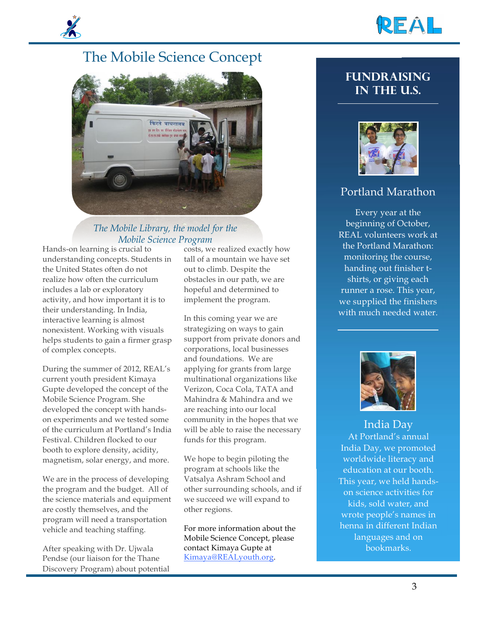





#### *The Mobile Library, the model for the Mobile Science Program*

Hands-on learning is crucial to understanding concepts. Students in the United States often do not realize how often the curriculum includes a lab or exploratory activity, and how important it is to their understanding. In India, interactive learning is almost nonexistent. Working with visuals helps students to gain a firmer grasp of complex concepts.

During the summer of 2012, REAL's current youth president Kimaya Gupte developed the concept of the Mobile Science Program. She developed the concept with handson experiments and we tested some of the curriculum at Portland's India Festival. Children flocked to our booth to explore density, acidity, magnetism, solar energy, and more.

We are in the process of developing the program and the budget. All of the science materials and equipment are costly themselves, and the program will need a transportation vehicle and teaching staffing.

After speaking with Dr. Ujwala Pendse (our liaison for the Thane Discovery Program) about potential costs, we realized exactly how tall of a mountain we have set out to climb. Despite the obstacles in our path, we are hopeful and determined to implement the program.

In this coming year we are strategizing on ways to gain support from private donors and corporations, local businesses and foundations. We are applying for grants from large multinational organizations like Verizon, Coca Cola, TATA and Mahindra & Mahindra and we are reaching into our local community in the hopes that we will be able to raise the necessary funds for this program.

We hope to begin piloting the program at schools like the Vatsalya Ashram School and other surrounding schools, and if we succeed we will expand to other regions.

For more information about the Mobile Science Concept, please contact Kimaya Gupte at Kimaya@REALyouth.org.

### **Fundraising IN the U.S.**



### Portland Marathon

Every year at the beginning of October, REAL volunteers work at the Portland Marathon: monitoring the course, handing out finisher tshirts, or giving each runner a rose. This year, we supplied the finishers with much needed water.



India Day At Portland's annual India Day, we promoted worldwide literacy and education at our booth. This year, we held handson science activities for kids, sold water, and wrote people's names in henna in different Indian languages and on bookmarks.